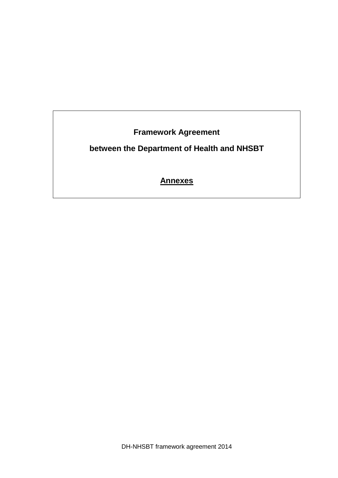**Framework Agreement** 

# **between the Department of Health and NHSBT**

**Annexes**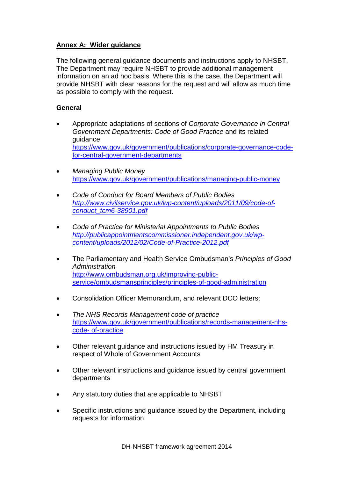## **Annex A: Wider guidance**

The following general guidance documents and instructions apply to NHSBT. The Department may require NHSBT to provide additional management information on an ad hoc basis. Where this is the case, the Department will provide NHSBT with clear reasons for the request and will allow as much time as possible to comply with the request.

## **General**

- Appropriate adaptations of sections of *Corporate Governance in Central Government Departments: Code of Good Practice* and its related guidance [https://www.gov.uk/government/publications/corporate-governance-code](https://www.gov.uk/government/publications/corporate-governance-code-for-central-government-departments)[for-central-government-departments](https://www.gov.uk/government/publications/corporate-governance-code-for-central-government-departments)
- *Managing Public Money* <https://www.gov.uk/government/publications/managing-public-money>
- *Code of Conduct for Board Members of Public Bodies [http://www.civilservice.gov.uk/wp-content/uploads/2011/09/code-of](http://www.civilservice.gov.uk/wp-content/uploads/2011/09/code-of-conduct_tcm6-38901.pdf)[conduct\\_tcm6-38901.pdf](http://www.civilservice.gov.uk/wp-content/uploads/2011/09/code-of-conduct_tcm6-38901.pdf)*
- *Code of Practice for Ministerial Appointments to Public Bodies [http://publicappointmentscommissioner.independent.gov.uk/wp](http://publicappointmentscommissioner.independent.gov.uk/wp-content/uploads/2012/02/Code-of-Practice-2012.pdf)[content/uploads/2012/02/Code-of-Practice-2012.pdf](http://publicappointmentscommissioner.independent.gov.uk/wp-content/uploads/2012/02/Code-of-Practice-2012.pdf)*
- The Parliamentary and Health Service Ombudsman's *Principles of Good Administration* [http://www.ombudsman.org.uk/improving-public](http://www.ombudsman.org.uk/improving-public-service/ombudsmansprinciples/principles-of-good-administration)[service/ombudsmansprinciples/principles-of-good-administration](http://www.ombudsman.org.uk/improving-public-service/ombudsmansprinciples/principles-of-good-administration)
- Consolidation Officer Memorandum, and relevant DCO letters;
- *The NHS Records Management code of practice* [https://www.gov.uk/government/publications/records-management-nhs](https://www.gov.uk/government/publications/records-management-nhs-code-%20%20%20%20%20%20%20%20%20%20%20%20%20%20%20%20of-practice)code- [of-practice](https://www.gov.uk/government/publications/records-management-nhs-code-%20%20%20%20%20%20%20%20%20%20%20%20%20%20%20%20of-practice)
- Other relevant guidance and instructions issued by HM Treasury in respect of Whole of Government Accounts
- Other relevant instructions and guidance issued by central government departments
- Any statutory duties that are applicable to NHSBT
- Specific instructions and guidance issued by the Department, including requests for information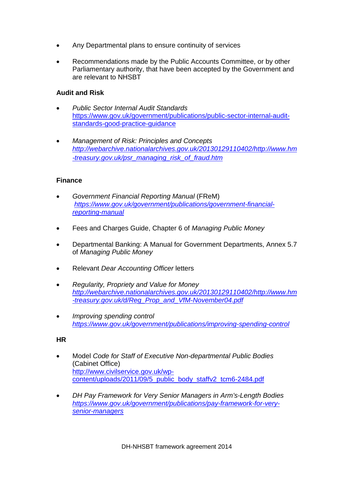- Any Departmental plans to ensure continuity of services
- Recommendations made by the Public Accounts Committee, or by other Parliamentary authority, that have been accepted by the Government and are relevant to NHSBT

#### **Audit and Risk**

- *Public Sector Internal Audit Standards* [https://www.gov.uk/government/publications/public-sector-internal-audit](https://www.gov.uk/government/publications/public-sector-internal-audit-standards-good-practice-guidance)[standards-good-practice-guidance](https://www.gov.uk/government/publications/public-sector-internal-audit-standards-good-practice-guidance)
- *Management of Risk: Principles and Concepts [http://webarchive.nationalarchives.gov.uk/20130129110402/http://www.hm](http://webarchive.nationalarchives.gov.uk/20130129110402/http:/www.hm-treasury.gov.uk/psr_managing_risk_of_fraud.htm) [-treasury.gov.uk/psr\\_managing\\_risk\\_of\\_fraud.htm](http://webarchive.nationalarchives.gov.uk/20130129110402/http:/www.hm-treasury.gov.uk/psr_managing_risk_of_fraud.htm)*

#### **Finance**

- *Government Financial Reporting Manual* (FReM) *[https://www.gov.uk/government/publications/government-financial](https://www.gov.uk/government/publications/government-financial-reporting-manual)[reporting-manual](https://www.gov.uk/government/publications/government-financial-reporting-manual)*
- Fees and Charges Guide, Chapter 6 of *Managing Public Money*
- Departmental Banking: A Manual for Government Departments, Annex 5.7 of *Managing Public Money*
- Relevant *Dear Accounting Officer* letters
- *Regularity, Propriety and Value for Money [http://webarchive.nationalarchives.gov.uk/20130129110402/http://www.hm](http://webarchive.nationalarchives.gov.uk/20130129110402/http:/www.hm-treasury.gov.uk/d/Reg_Prop_and_VfM-November04.pdf) [-treasury.gov.uk/d/Reg\\_Prop\\_and\\_VfM-November04.pdf](http://webarchive.nationalarchives.gov.uk/20130129110402/http:/www.hm-treasury.gov.uk/d/Reg_Prop_and_VfM-November04.pdf)*
- *Improving spending control <https://www.gov.uk/government/publications/improving-spending-control>*

#### **HR**

- Model *Code for Staff of Executive Non-departmental Public Bodies* (Cabinet Office) [http://www.civilservice.gov.uk/wp](http://www.civilservice.gov.uk/wp-content/uploads/2011/09/5_public_body_staffv2_tcm6-2484.pdf)[content/uploads/2011/09/5\\_public\\_body\\_staffv2\\_tcm6-2484.pdf](http://www.civilservice.gov.uk/wp-content/uploads/2011/09/5_public_body_staffv2_tcm6-2484.pdf)
- *DH Pay Framework for Very Senior Managers in Arm's-Length Bodies [https://www.gov.uk/government/publications/pay-framework-for-very](https://www.gov.uk/government/publications/pay-framework-for-very-senior-managers)[senior-managers](https://www.gov.uk/government/publications/pay-framework-for-very-senior-managers)*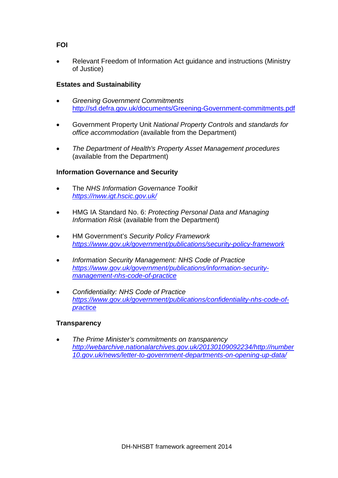## **FOI**

• Relevant Freedom of Information Act guidance and instructions (Ministry of Justice)

## **Estates and Sustainability**

- *Greening Government Commitments* <http://sd.defra.gov.uk/documents/Greening-Government-commitments.pdf>
- Government Property Unit *National Property Controls* and *standards for office accommodation* (available from the Department)
- *The Department of Health's Property Asset Management procedures* (available from the Department)

## **Information Governance and Security**

- The *NHS Information Governance Toolkit <https://nww.igt.hscic.gov.uk/>*
- HMG IA Standard No. 6: *Protecting Personal Data and Managing Information Risk* (available from the Department)
- HM Government's *Security Policy Framework <https://www.gov.uk/government/publications/security-policy-framework>*
- *Information Security Management: NHS Code of Practice [https://www.gov.uk/government/publications/information-security](https://www.gov.uk/government/publications/information-security-management-nhs-code-of-practice)[management-nhs-code-of-practice](https://www.gov.uk/government/publications/information-security-management-nhs-code-of-practice)*
- *Confidentiality: NHS Code of Practice [https://www.gov.uk/government/publications/confidentiality-nhs-code-of](https://www.gov.uk/government/publications/confidentiality-nhs-code-of-practice)[practice](https://www.gov.uk/government/publications/confidentiality-nhs-code-of-practice)*

#### **Transparency**

• *The Prime Minister's commitments on transparency [http://webarchive.nationalarchives.gov.uk/20130109092234/http://number](http://webarchive.nationalarchives.gov.uk/20130109092234/http:/number10.gov.uk/news/letter-to-government-departments-on-opening-up-data/) [10.gov.uk/news/letter-to-government-departments-on-opening-up-data/](http://webarchive.nationalarchives.gov.uk/20130109092234/http:/number10.gov.uk/news/letter-to-government-departments-on-opening-up-data/)*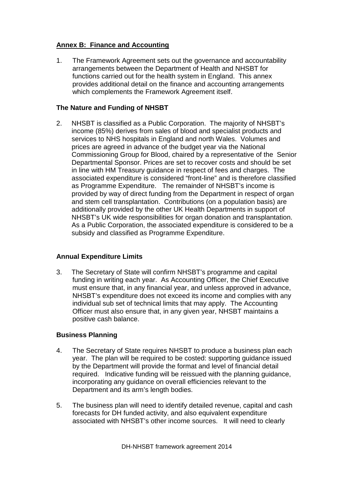## **Annex B: Finance and Accounting**

1. The Framework Agreement sets out the governance and accountability arrangements between the Department of Health and NHSBT for functions carried out for the health system in England. This annex provides additional detail on the finance and accounting arrangements which complements the Framework Agreement itself.

## **The Nature and Funding of NHSBT**

2. NHSBT is classified as a Public Corporation. The majority of NHSBT's income (85%) derives from sales of blood and specialist products and services to NHS hospitals in England and north Wales. Volumes and prices are agreed in advance of the budget year via the National Commissioning Group for Blood, chaired by a representative of the Senior Departmental Sponsor. Prices are set to recover costs and should be set in line with HM Treasury guidance in respect of fees and charges. The associated expenditure is considered "front-line" and is therefore classified as Programme Expenditure. The remainder of NHSBT's income is provided by way of direct funding from the Department in respect of organ and stem cell transplantation. Contributions (on a population basis) are additionally provided by the other UK Health Departments in support of NHSBT's UK wide responsibilities for organ donation and transplantation. As a Public Corporation, the associated expenditure is considered to be a subsidy and classified as Programme Expenditure.

## **Annual Expenditure Limits**

3. The Secretary of State will confirm NHSBT's programme and capital funding in writing each year. As Accounting Officer, the Chief Executive must ensure that, in any financial year, and unless approved in advance, NHSBT's expenditure does not exceed its income and complies with any individual sub set of technical limits that may apply. The Accounting Officer must also ensure that, in any given year, NHSBT maintains a positive cash balance.

#### **Business Planning**

- 4. The Secretary of State requires NHSBT to produce a business plan each year. The plan will be required to be costed: supporting guidance issued by the Department will provide the format and level of financial detail required. Indicative funding will be reissued with the planning guidance, incorporating any guidance on overall efficiencies relevant to the Department and its arm's length bodies.
- 5. The business plan will need to identify detailed revenue, capital and cash forecasts for DH funded activity, and also equivalent expenditure associated with NHSBT's other income sources. It will need to clearly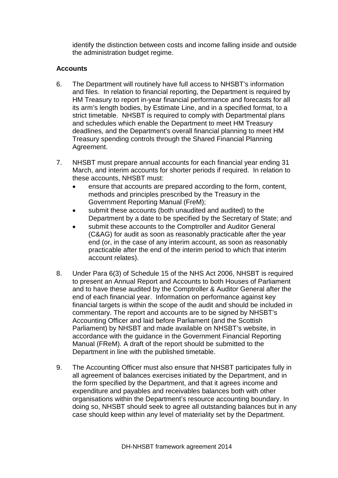identify the distinction between costs and income falling inside and outside the administration budget regime.

## **Accounts**

- 6. The Department will routinely have full access to NHSBT's information and files. In relation to financial reporting, the Department is required by HM Treasury to report in-year financial performance and forecasts for all its arm's length bodies, by Estimate Line, and in a specified format, to a strict timetable. NHSBT is required to comply with Departmental plans and schedules which enable the Department to meet HM Treasury deadlines, and the Department's overall financial planning to meet HM Treasury spending controls through the Shared Financial Planning Agreement.
- 7. NHSBT must prepare annual accounts for each financial year ending 31 March, and interim accounts for shorter periods if required. In relation to these accounts, NHSBT must:
	- ensure that accounts are prepared according to the form, content, methods and principles prescribed by the Treasury in the Government Reporting Manual (FreM);
	- submit these accounts (both unaudited and audited) to the Department by a date to be specified by the Secretary of State; and
	- submit these accounts to the Comptroller and Auditor General (C&AG) for audit as soon as reasonably practicable after the year end (or, in the case of any interim account, as soon as reasonably practicable after the end of the interim period to which that interim account relates).
- 8. Under Para 6(3) of Schedule 15 of the NHS Act 2006, NHSBT is required to present an Annual Report and Accounts to both Houses of Parliament and to have these audited by the Comptroller & Auditor General after the end of each financial year. Information on performance against key financial targets is within the scope of the audit and should be included in commentary. The report and accounts are to be signed by NHSBT's Accounting Officer and laid before Parliament (and the Scottish Parliament) by NHSBT and made available on NHSBT's website, in accordance with the guidance in the Government Financial Reporting Manual (FReM). A draft of the report should be submitted to the Department in line with the published timetable.
- 9. The Accounting Officer must also ensure that NHSBT participates fully in all agreement of balances exercises initiated by the Department, and in the form specified by the Department, and that it agrees income and expenditure and payables and receivables balances both with other organisations within the Department's resource accounting boundary. In doing so, NHSBT should seek to agree all outstanding balances but in any case should keep within any level of materiality set by the Department.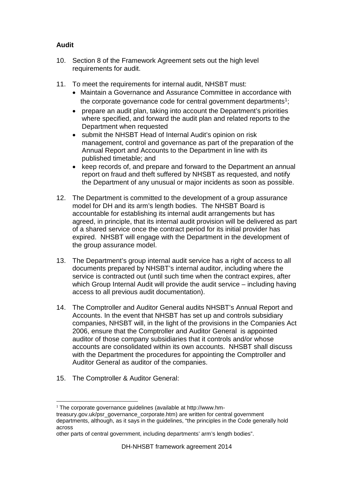# **Audit**

- 10. Section 8 of the Framework Agreement sets out the high level requirements for audit.
- 11. To meet the requirements for internal audit, NHSBT must:
	- Maintain a Governance and Assurance Committee in accordance with the corporate governance code for central government departments<sup>[1](#page-6-0)</sup>;
	- prepare an audit plan, taking into account the Department's priorities where specified, and forward the audit plan and related reports to the Department when requested
	- submit the NHSBT Head of Internal Audit's opinion on risk management, control and governance as part of the preparation of the Annual Report and Accounts to the Department in line with its published timetable; and
	- keep records of, and prepare and forward to the Department an annual report on fraud and theft suffered by NHSBT as requested, and notify the Department of any unusual or major incidents as soon as possible.
- 12. The Department is committed to the development of a group assurance model for DH and its arm's length bodies. The NHSBT Board is accountable for establishing its internal audit arrangements but has agreed, in principle, that its internal audit provision will be delivered as part of a shared service once the contract period for its initial provider has expired. NHSBT will engage with the Department in the development of the group assurance model.
- 13. The Department's group internal audit service has a right of access to all documents prepared by NHSBT's internal auditor, including where the service is contracted out (until such time when the contract expires, after which Group Internal Audit will provide the audit service – including having access to all previous audit documentation).
- 14. The Comptroller and Auditor General audits NHSBT's Annual Report and Accounts. In the event that NHSBT has set up and controls subsidiary companies, NHSBT will, in the light of the provisions in the Companies Act 2006, ensure that the Comptroller and Auditor General is appointed auditor of those company subsidiaries that it controls and/or whose accounts are consolidated within its own accounts. NHSBT shall discuss with the Department the procedures for appointing the Comptroller and Auditor General as auditor of the companies.
- 15. The Comptroller & Auditor General:

 $\overline{a}$  $1$  The corporate governance guidelines (available at http://www.hm-

<span id="page-6-0"></span>treasury.gov.uk/psr\_governance\_corporate.htm) are written for central government departments, although, as it says in the guidelines, "the principles in the Code generally hold across

other parts of central government, including departments' arm's length bodies".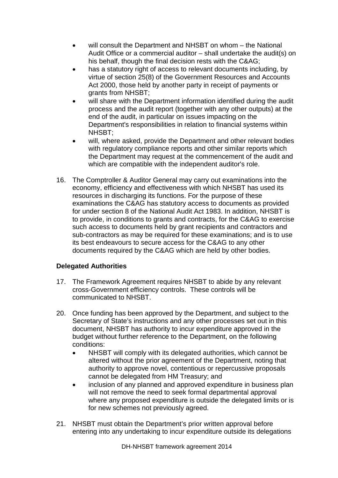- will consult the Department and NHSBT on whom the National Audit Office or a commercial auditor – shall undertake the audit(s) on his behalf, though the final decision rests with the C&AG;
- has a statutory right of access to relevant documents including, by virtue of section 25(8) of the Government Resources and Accounts Act 2000, those held by another party in receipt of payments or grants from NHSBT;
- will share with the Department information identified during the audit process and the audit report (together with any other outputs) at the end of the audit, in particular on issues impacting on the Department's responsibilities in relation to financial systems within NHSBT;
- will, where asked, provide the Department and other relevant bodies with regulatory compliance reports and other similar reports which the Department may request at the commencement of the audit and which are compatible with the independent auditor's role.
- 16. The Comptroller & Auditor General may carry out examinations into the economy, efficiency and effectiveness with which NHSBT has used its resources in discharging its functions. For the purpose of these examinations the C&AG has statutory access to documents as provided for under section 8 of the National Audit Act 1983. In addition, NHSBT is to provide, in conditions to grants and contracts, for the C&AG to exercise such access to documents held by grant recipients and contractors and sub-contractors as may be required for these examinations; and is to use its best endeavours to secure access for the C&AG to any other documents required by the C&AG which are held by other bodies.

## **Delegated Authorities**

- 17. The Framework Agreement requires NHSBT to abide by any relevant cross-Government efficiency controls. These controls will be communicated to NHSBT.
- 20. Once funding has been approved by the Department, and subject to the Secretary of State's instructions and any other processes set out in this document, NHSBT has authority to incur expenditure approved in the budget without further reference to the Department, on the following conditions:
	- NHSBT will comply with its delegated authorities, which cannot be altered without the prior agreement of the Department, noting that authority to approve novel, contentious or repercussive proposals cannot be delegated from HM Treasury; and
	- inclusion of any planned and approved expenditure in business plan will not remove the need to seek formal departmental approval where any proposed expenditure is outside the delegated limits or is for new schemes not previously agreed.
- 21. NHSBT must obtain the Department's prior written approval before entering into any undertaking to incur expenditure outside its delegations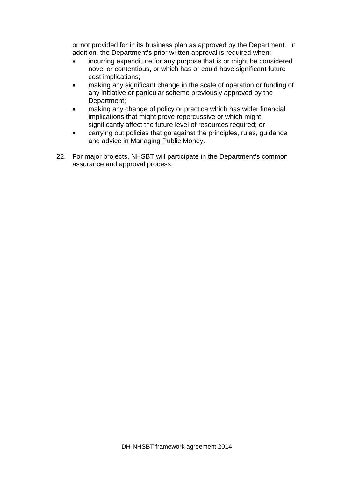or not provided for in its business plan as approved by the Department. In addition, the Department's prior written approval is required when:

- incurring expenditure for any purpose that is or might be considered novel or contentious, or which has or could have significant future cost implications;
- making any significant change in the scale of operation or funding of any initiative or particular scheme previously approved by the Department;
- making any change of policy or practice which has wider financial implications that might prove repercussive or which might significantly affect the future level of resources required; or
- carrying out policies that go against the principles, rules, guidance and advice in Managing Public Money.
- 22. For major projects, NHSBT will participate in the Department's common assurance and approval process.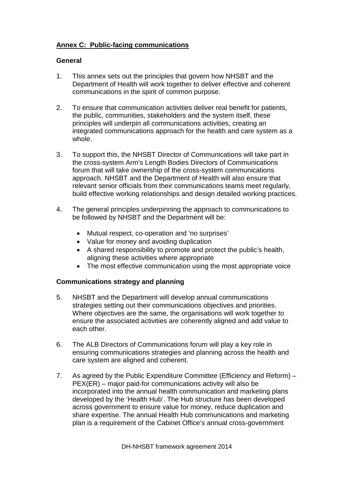# **Annex C: Public-facing communications**

#### **General**

- 1. This annex sets out the principles that govern how NHSBT and the Department of Health will work together to deliver effective and coherent communications in the spirit of common purpose.
- 2. To ensure that communication activities deliver real benefit for patients, the public, communities, stakeholders and the system itself, these principles will underpin all communications activities, creating an integrated communications approach for the health and care system as a whole.
- 3. To support this, the NHSBT Director of Communications will take part in the cross-system Arm's Length Bodies Directors of Communications forum that will take ownership of the cross-system communications approach. NHSBT and the Department of Health will also ensure that relevant senior officials from their communications teams meet regularly, build effective working relationships and design detailed working practices.
- 4. The general principles underpinning the approach to communications to be followed by NHSBT and the Department will be:
	- Mutual respect, co-operation and 'no surprises'
	- Value for money and avoiding duplication
	- A shared responsibility to promote and protect the public's health, aligning these activities where appropriate
	- The most effective communication using the most appropriate voice

## **Communications strategy and planning**

- 5. NHSBT and the Department will develop annual communications strategies setting out their communications objectives and priorities. Where objectives are the same, the organisations will work together to ensure the associated activities are coherently aligned and add value to each other.
- 6. The ALB Directors of Communications forum will play a key role in ensuring communications strategies and planning across the health and care system are aligned and coherent.
- 7. As agreed by the Public Expenditure Committee (Efficiency and Reform) PEX(ER) – major paid-for communications activity will also be incorporated into the annual health communication and marketing plans developed by the 'Health Hub'. The Hub structure has been developed across government to ensure value for money, reduce duplication and share expertise. The annual Health Hub communications and marketing plan is a requirement of the Cabinet Office's annual cross-government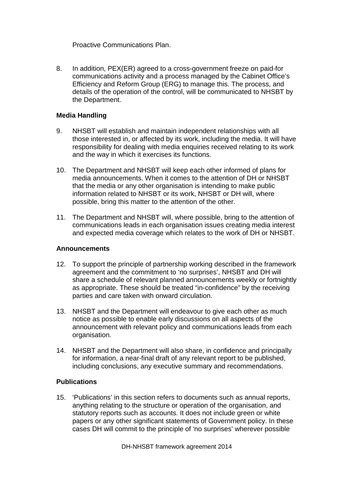Proactive Communications Plan.

8. In addition, PEX(ER) agreed to a cross-government freeze on paid-for communications activity and a process managed by the Cabinet Office's Efficiency and Reform Group (ERG) to manage this. The process, and details of the operation of the control, will be communicated to NHSBT by the Department.

## **Media Handling**

- 9. NHSBT will establish and maintain independent relationships with all those interested in, or affected by its work, including the media. It will have responsibility for dealing with media enquiries received relating to its work and the way in which it exercises its functions.
- 10. The Department and NHSBT will keep each other informed of plans for media announcements. When it comes to the attention of DH or NHSBT that the media or any other organisation is intending to make public information related to NHSBT or its work, NHSBT or DH will, where possible, bring this matter to the attention of the other.
- 11. The Department and NHSBT will, where possible, bring to the attention of communications leads in each organisation issues creating media interest and expected media coverage which relates to the work of DH or NHSBT.

#### **Announcements**

- 12. To support the principle of partnership working described in the framework agreement and the commitment to 'no surprises', NHSBT and DH will share a schedule of relevant planned announcements weekly or fortnightly as appropriate. These should be treated "in-confidence" by the receiving parties and care taken with onward circulation.
- 13. NHSBT and the Department will endeavour to give each other as much notice as possible to enable early discussions on all aspects of the announcement with relevant policy and communications leads from each organisation.
- 14. NHSBT and the Department will also share, in confidence and principally for information, a near-final draft of any relevant report to be published, including conclusions, any executive summary and recommendations.

#### **Publications**

15. 'Publications' in this section refers to documents such as annual reports, anything relating to the structure or operation of the organisation, and statutory reports such as accounts. It does not include green or white papers or any other significant statements of Government policy. In these cases DH will commit to the principle of 'no surprises' wherever possible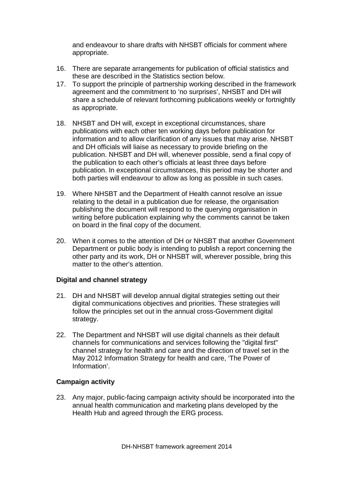and endeavour to share drafts with NHSBT officials for comment where appropriate.

- 16. There are separate arrangements for publication of official statistics and these are described in the Statistics section below.
- 17. To support the principle of partnership working described in the framework agreement and the commitment to 'no surprises', NHSBT and DH will share a schedule of relevant forthcoming publications weekly or fortnightly as appropriate.
- 18. NHSBT and DH will, except in exceptional circumstances, share publications with each other ten working days before publication for information and to allow clarification of any issues that may arise. NHSBT and DH officials will liaise as necessary to provide briefing on the publication. NHSBT and DH will, whenever possible, send a final copy of the publication to each other's officials at least three days before publication. In exceptional circumstances, this period may be shorter and both parties will endeavour to allow as long as possible in such cases.
- 19. Where NHSBT and the Department of Health cannot resolve an issue relating to the detail in a publication due for release, the organisation publishing the document will respond to the querying organisation in writing before publication explaining why the comments cannot be taken on board in the final copy of the document.
- 20. When it comes to the attention of DH or NHSBT that another Government Department or public body is intending to publish a report concerning the other party and its work, DH or NHSBT will, wherever possible, bring this matter to the other's attention.

#### **Digital and channel strategy**

- 21. DH and NHSBT will develop annual digital strategies setting out their digital communications objectives and priorities. These strategies will follow the principles set out in the annual cross-Government digital strategy.
- 22. The Department and NHSBT will use digital channels as their default channels for communications and services following the "digital first" channel strategy for health and care and the direction of travel set in the May 2012 Information Strategy for health and care, 'The Power of Information'.

#### **Campaign activity**

23. Any major, public-facing campaign activity should be incorporated into the annual health communication and marketing plans developed by the Health Hub and agreed through the ERG process.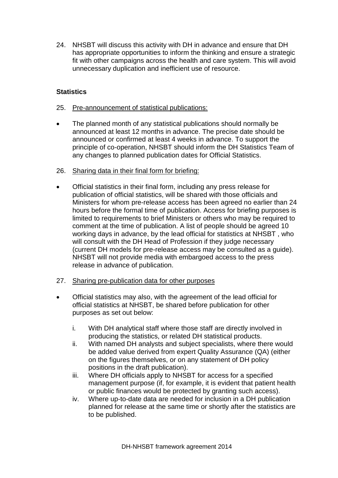24. NHSBT will discuss this activity with DH in advance and ensure that DH has appropriate opportunities to inform the thinking and ensure a strategic fit with other campaigns across the health and care system. This will avoid unnecessary duplication and inefficient use of resource.

## **Statistics**

- 25. Pre-announcement of statistical publications:
- The planned month of any statistical publications should normally be announced at least 12 months in advance. The precise date should be announced or confirmed at least 4 weeks in advance. To support the principle of co-operation, NHSBT should inform the DH Statistics Team of any changes to planned publication dates for Official Statistics.
- 26. Sharing data in their final form for briefing:
- Official statistics in their final form, including any press release for publication of official statistics, will be shared with those officials and Ministers for whom pre-release access has been agreed no earlier than 24 hours before the formal time of publication. Access for briefing purposes is limited to requirements to brief Ministers or others who may be required to comment at the time of publication. A list of people should be agreed 10 working days in advance, by the lead official for statistics at NHSBT , who will consult with the DH Head of Profession if they judge necessary (current DH models for pre-release access may be consulted as a guide). NHSBT will not provide media with embargoed access to the press release in advance of publication.
- 27. Sharing pre-publication data for other purposes
- Official statistics may also, with the agreement of the lead official for official statistics at NHSBT, be shared before publication for other purposes as set out below:
	- i. With DH analytical staff where those staff are directly involved in producing the statistics, or related DH statistical products.
	- ii. With named DH analysts and subject specialists, where there would be added value derived from expert Quality Assurance (QA) (either on the figures themselves, or on any statement of DH policy positions in the draft publication).
	- iii. Where DH officials apply to NHSBT for access for a specified management purpose (if, for example, it is evident that patient health or public finances would be protected by granting such access).
	- iv. Where up-to-date data are needed for inclusion in a DH publication planned for release at the same time or shortly after the statistics are to be published.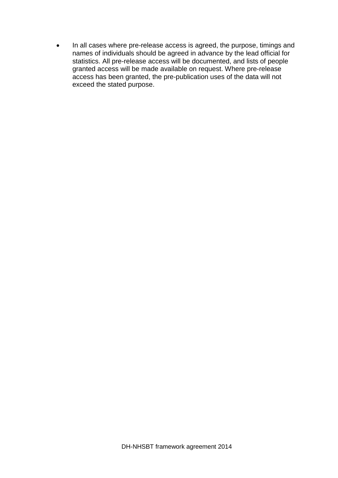• In all cases where pre-release access is agreed, the purpose, timings and names of individuals should be agreed in advance by the lead official for statistics. All pre-release access will be documented, and lists of people granted access will be made available on request. Where pre-release access has been granted, the pre-publication uses of the data will not exceed the stated purpose.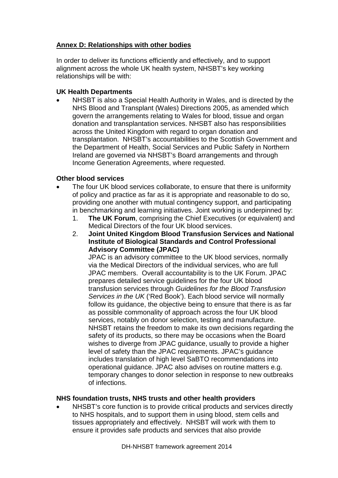# **Annex D: Relationships with other bodies**

In order to deliver its functions efficiently and effectively, and to support alignment across the whole UK health system, NHSBT's key working relationships will be with:

## **UK Health Departments**

• NHSBT is also a Special Health Authority in Wales, and is directed by the NHS Blood and Transplant (Wales) Directions 2005, as amended which govern the arrangements relating to Wales for blood, tissue and organ donation and transplantation services. NHSBT also has responsibilities across the United Kingdom with regard to organ donation and transplantation. NHSBT's accountabilities to the Scottish Government and the Department of Health, Social Services and Public Safety in Northern Ireland are governed via NHSBT's Board arrangements and through Income Generation Agreements, where requested.

## **Other blood services**

- The four UK blood services collaborate, to ensure that there is uniformity of policy and practice as far as it is appropriate and reasonable to do so, providing one another with mutual contingency support, and participating in benchmarking and learning initiatives. Joint working is underpinned by:
	- 1. **The UK Forum**, comprising the Chief Executives (or equivalent) and Medical Directors of the four UK blood services.
	- 2. **Joint United Kingdom Blood Transfusion Services and National Institute of Biological Standards and Control Professional Advisory Committee (JPAC)**

JPAC is an advisory committee to the UK blood services, normally via the Medical Directors of the individual services, who are full JPAC members. Overall accountability is to the UK Forum. JPAC prepares detailed service guidelines for the four UK blood transfusion services through *Guidelines for the Blood Transfusion Services in the UK* ('Red Book'). Each blood service will normally follow its guidance, the objective being to ensure that there is as far as possible commonality of approach across the four UK blood services, notably on donor selection, testing and manufacture. NHSBT retains the freedom to make its own decisions regarding the safety of its products, so there may be occasions when the Board wishes to diverge from JPAC guidance, usually to provide a higher level of safety than the JPAC requirements. JPAC's guidance includes translation of high level SaBTO recommendations into operational guidance. JPAC also advises on routine matters e.g. temporary changes to donor selection in response to new outbreaks of infections.

#### **NHS foundation trusts, NHS trusts and other health providers**

• NHSBT's core function is to provide critical products and services directly to NHS hospitals, and to support them in using blood, stem cells and tissues appropriately and effectively. NHSBT will work with them to ensure it provides safe products and services that also provide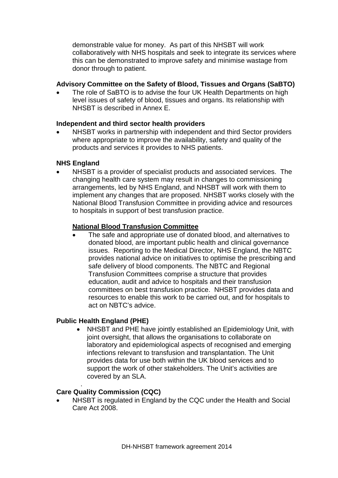demonstrable value for money. As part of this NHSBT will work collaboratively with NHS hospitals and seek to integrate its services where this can be demonstrated to improve safety and minimise wastage from donor through to patient.

## **Advisory Committee on the Safety of Blood, Tissues and Organs (SaBTO)**

The role of SaBTO is to advise the four UK Health Departments on high level issues of safety of blood, tissues and organs. Its relationship with NHSBT is described in Annex E.

#### **Independent and third sector health providers**

• NHSBT works in partnership with independent and third Sector providers where appropriate to improve the availability, safety and quality of the products and services it provides to NHS patients.

## **NHS England**

• NHSBT is a provider of specialist products and associated services. The changing health care system may result in changes to commissioning arrangements, led by NHS England, and NHSBT will work with them to implement any changes that are proposed. NHSBT works closely with the National Blood Transfusion Committee in providing advice and resources to hospitals in support of best transfusion practice.

## **National Blood Transfusion Committee**

• The safe and appropriate use of donated blood, and alternatives to donated blood, are important public health and clinical governance issues. Reporting to the Medical Director, NHS England, the NBTC provides national advice on initiatives to optimise the prescribing and safe delivery of blood components. The NBTC and Regional Transfusion Committees comprise a structure that provides education, audit and advice to hospitals and their transfusion committees on best transfusion practice. NHSBT provides data and resources to enable this work to be carried out, and for hospitals to act on NBTC's advice.

#### **Public Health England (PHE)**

• NHSBT and PHE have jointly established an Epidemiology Unit, with joint oversight, that allows the organisations to collaborate on laboratory and epidemiological aspects of recognised and emerging infections relevant to transfusion and transplantation. The Unit provides data for use both within the UK blood services and to support the work of other stakeholders. The Unit's activities are covered by an SLA.

#### . **Care Quality Commission (CQC)**

• NHSBT is regulated in England by the CQC under the Health and Social Care Act 2008.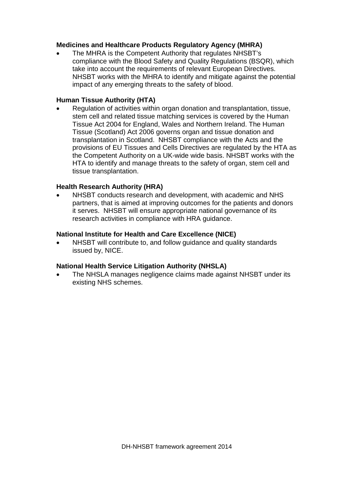## **Medicines and Healthcare Products Regulatory Agency (MHRA)**

• The MHRA is the Competent Authority that regulates NHSBT's compliance with the Blood Safety and Quality Regulations (BSQR), which take into account the requirements of relevant European Directives. NHSBT works with the MHRA to identify and mitigate against the potential impact of any emerging threats to the safety of blood.

#### **Human Tissue Authority (HTA)**

• Regulation of activities within organ donation and transplantation, tissue, stem cell and related tissue matching services is covered by the Human Tissue Act 2004 for England, Wales and Northern Ireland. The Human Tissue (Scotland) Act 2006 governs organ and tissue donation and transplantation in Scotland. NHSBT compliance with the Acts and the provisions of EU Tissues and Cells Directives are regulated by the HTA as the Competent Authority on a UK-wide wide basis. NHSBT works with the HTA to identify and manage threats to the safety of organ, stem cell and tissue transplantation.

## **Health Research Authority (HRA)**

• NHSBT conducts research and development, with academic and NHS partners, that is aimed at improving outcomes for the patients and donors it serves. NHSBT will ensure appropriate national governance of its research activities in compliance with HRA guidance.

#### **National Institute for Health and Care Excellence (NICE)**

NHSBT will contribute to, and follow guidance and quality standards issued by, NICE.

#### **National Health Service Litigation Authority (NHSLA)**

• The NHSLA manages negligence claims made against NHSBT under its existing NHS schemes.